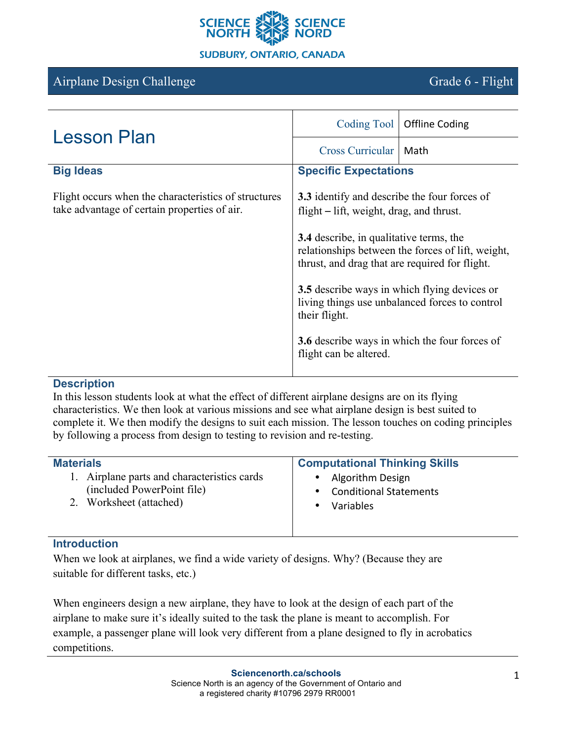

# Airplane Design Challenge Grade 6 - Flight

| <b>Lesson Plan</b>                                                                                   | Coding Tool                                                                                                                                           | <b>Offline Coding</b>                                |
|------------------------------------------------------------------------------------------------------|-------------------------------------------------------------------------------------------------------------------------------------------------------|------------------------------------------------------|
|                                                                                                      | <b>Cross Curricular</b>                                                                                                                               | Math                                                 |
| <b>Big Ideas</b>                                                                                     | <b>Specific Expectations</b>                                                                                                                          |                                                      |
| Flight occurs when the characteristics of structures<br>take advantage of certain properties of air. | <b>3.3</b> identify and describe the four forces of<br>flight $-$ lift, weight, drag, and thrust.                                                     |                                                      |
|                                                                                                      | <b>3.4</b> describe, in qualitative terms, the<br>relationships between the forces of lift, weight,<br>thrust, and drag that are required for flight. |                                                      |
|                                                                                                      | <b>3.5</b> describe ways in which flying devices or<br>living things use unbalanced forces to control<br>their flight.                                |                                                      |
|                                                                                                      | flight can be altered.                                                                                                                                | <b>3.6</b> describe ways in which the four forces of |

#### **Description**

In this lesson students look at what the effect of different airplane designs are on its flying characteristics. We then look at various missions and see what airplane design is best suited to complete it. We then modify the designs to suit each mission. The lesson touches on coding principles by following a process from design to testing to revision and re-testing.

| <b>Materials</b>                            | <b>Computational Thinking Skills</b> |
|---------------------------------------------|--------------------------------------|
| 1. Airplane parts and characteristics cards | Algorithm Design                     |
| (included PowerPoint file)                  | <b>Conditional Statements</b>        |
| 2. Worksheet (attached)                     | Variables                            |

# **Introduction**

When we look at airplanes, we find a wide variety of designs. Why? (Because they are suitable for different tasks, etc.)

When engineers design a new airplane, they have to look at the design of each part of the airplane to make sure it's ideally suited to the task the plane is meant to accomplish. For example, a passenger plane will look very different from a plane designed to fly in acrobatics competitions.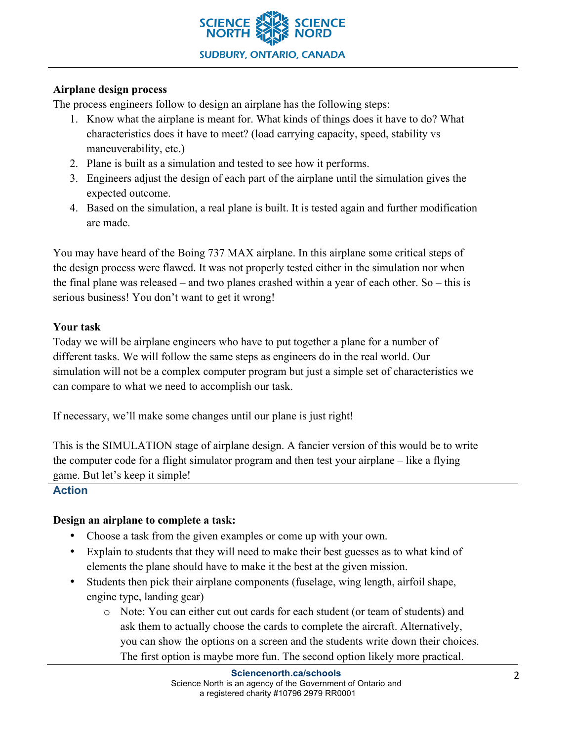

#### **Airplane design process**

The process engineers follow to design an airplane has the following steps:

- 1. Know what the airplane is meant for. What kinds of things does it have to do? What characteristics does it have to meet? (load carrying capacity, speed, stability vs maneuverability, etc.)
- 2. Plane is built as a simulation and tested to see how it performs.
- 3. Engineers adjust the design of each part of the airplane until the simulation gives the expected outcome.
- 4. Based on the simulation, a real plane is built. It is tested again and further modification are made.

You may have heard of the Boing 737 MAX airplane. In this airplane some critical steps of the design process were flawed. It was not properly tested either in the simulation nor when the final plane was released – and two planes crashed within a year of each other. So – this is serious business! You don't want to get it wrong!

#### **Your task**

Today we will be airplane engineers who have to put together a plane for a number of different tasks. We will follow the same steps as engineers do in the real world. Our simulation will not be a complex computer program but just a simple set of characteristics we can compare to what we need to accomplish our task.

If necessary, we'll make some changes until our plane is just right!

This is the SIMULATION stage of airplane design. A fancier version of this would be to write the computer code for a flight simulator program and then test your airplane – like a flying game. But let's keep it simple!

# **Action**

# **Design an airplane to complete a task:**

- Choose a task from the given examples or come up with your own.
- Explain to students that they will need to make their best guesses as to what kind of elements the plane should have to make it the best at the given mission.
- Students then pick their airplane components (fuselage, wing length, airfoil shape, engine type, landing gear)
	- o Note: You can either cut out cards for each student (or team of students) and ask them to actually choose the cards to complete the aircraft. Alternatively, you can show the options on a screen and the students write down their choices. The first option is maybe more fun. The second option likely more practical.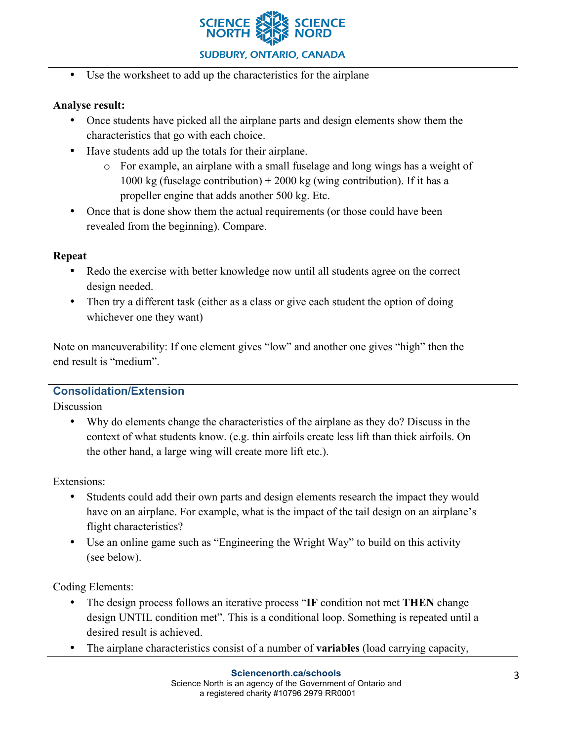

• Use the worksheet to add up the characteristics for the airplane

#### **Analyse result:**

- Once students have picked all the airplane parts and design elements show them the characteristics that go with each choice.
- Have students add up the totals for their airplane.
	- o For example, an airplane with a small fuselage and long wings has a weight of 1000 kg (fuselage contribution)  $+$  2000 kg (wing contribution). If it has a propeller engine that adds another 500 kg. Etc.
- Once that is done show them the actual requirements (or those could have been revealed from the beginning). Compare.

#### **Repeat**

- Redo the exercise with better knowledge now until all students agree on the correct design needed.
- Then try a different task (either as a class or give each student the option of doing whichever one they want)

Note on maneuverability: If one element gives "low" and another one gives "high" then the end result is "medium".

# **Consolidation/Extension**

**Discussion** 

• Why do elements change the characteristics of the airplane as they do? Discuss in the context of what students know. (e.g. thin airfoils create less lift than thick airfoils. On the other hand, a large wing will create more lift etc.).

Extensions:

- Students could add their own parts and design elements research the impact they would have on an airplane. For example, what is the impact of the tail design on an airplane's flight characteristics?
- Use an online game such as "Engineering the Wright Way" to build on this activity (see below).

Coding Elements:

- The design process follows an iterative process "**IF** condition not met **THEN** change design UNTIL condition met". This is a conditional loop. Something is repeated until a desired result is achieved.
- The airplane characteristics consist of a number of **variables** (load carrying capacity,